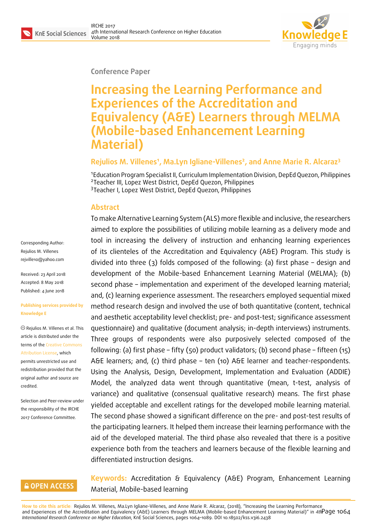

#### **Conference Paper**

# **Increasing the Learning Performance and Experiences of the Accreditation and Equivalency (A&E) Learners through MELMA (Mobile-based Enhancement Learning Material)**

#### **Rejulios M. Villenes<sup>1</sup> , Ma.Lyn Igliane-Villenes<sup>2</sup> , and Anne Marie R. Alcaraz<sup>3</sup>**

1 Education Program Specialist II, Curriculum Implementation Division, DepEd Quezon, Philippines 2 Teacher III, Lopez West District, DepEd Quezon, Philippines <sup>3</sup>Teacher I, Lopez West District, DepEd Quezon, Philippines

To make Alternative Learning System (ALS) more flexible and inclusive, the researchers

#### **Abstract**

Corresponding Author: Rejulios M. Villenes rejville10@yahoo.com

Received: 23 April 2018 Accepted: 8 May 2018 [Published: 4 June 2018](mailto:rejville10@yahoo.com)

#### **Publishing services provided by Knowledge E**

Rejulios M. Villenes et al. This article is distributed under the terms of the Creative Commons Attribution License, which permits unrestricted use and redistribution provided that the original auth[or and source are](https://creativecommons.org/licenses/by/4.0/) [credited.](https://creativecommons.org/licenses/by/4.0/)

Selection and Peer-review under the responsibility of the IRCHE 2017 Conference Committee.

aimed to explore the possibilities of utilizing mobile learning as a delivery mode and tool in increasing the delivery of instruction and enhancing learning experiences of its clienteles of the Accreditation and Equivalency (A&E) Program. This study is divided into three (3) folds composed of the following: (a) first phase – design and development of the Mobile-based Enhancement Learning Material (MELMA); (b) second phase – implementation and experiment of the developed learning material; and, (c) learning experience assessment. The researchers employed sequential mixed method research design and involved the use of both quantitative (content, technical and aesthetic acceptability level checklist; pre- and post-test; significance assessment questionnaire) and qualitative (document analysis; in-depth interviews) instruments. Three groups of respondents were also purposively selected composed of the following: (a) first phase – fifty (50) product validators; (b) second phase – fifteen (15) A&E learners; and, (c) third phase – ten (10) A&E learner and teacher-respondents. Using the Analysis, Design, Development, Implementation and Evaluation (ADDIE) Model, the analyzed data went through quantitative (mean, t-test, analysis of variance) and qualitative (consensual qualitative research) means. The first phase yielded acceptable and excellent ratings for the developed mobile learning material. The second phase showed a significant difference on the pre- and post-test results of the participating learners. It helped them increase their learning performance with the aid of the developed material. The third phase also revealed that there is a positive experience both from the teachers and learners because of the flexible learning and differentiated instruction designs.

#### **GOPEN ACCESS**

**Keywords:** Accreditation & Equivalency (A&E) Program, Enhancement Learning Material, Mobile-based learning

**How to cite this article**: Rejulios M. Villenes, Ma.Lyn Igliane-Villenes, and Anne Marie R. Alcaraz, (2018), "Increasing the Learning Performance and Experiences of the Accreditation and Equivalency (A&E) Learners through MELMA (Mobile-based Enhancement Learning Material)" in *4th* Page 1064 *International Research Conference on Higher Education*, KnE Social Sciences, pages 1064–1089. DOI 10.18502/kss.v3i6.2438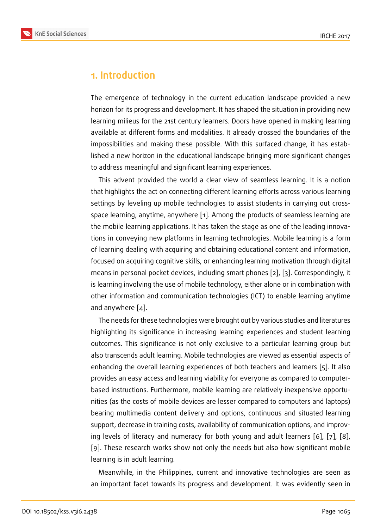## **1. Introduction**

The emergence of technology in the current education landscape provided a new horizon for its progress and development. It has shaped the situation in providing new learning milieus for the 21st century learners. Doors have opened in making learning available at different forms and modalities. It already crossed the boundaries of the impossibilities and making these possible. With this surfaced change, it has established a new horizon in the educational landscape bringing more significant changes to address meaningful and significant learning experiences.

This advent provided the world a clear view of seamless learning. It is a notion that highlights the act on connecting different learning efforts across various learning settings by leveling up mobile technologies to assist students in carrying out crossspace learning, anytime, anywhere [1]. Among the products of seamless learning are the mobile learning applications. It has taken the stage as one of the leading innovations in conveying new platforms in learning technologies. Mobile learning is a form of learning dealing with acquiring an[d](#page-20-0) obtaining educational content and information, focused on acquiring cognitive skills, or enhancing learning motivation through digital means in personal pocket devices, including smart phones [2], [3]. Correspondingly, it is learning involving the use of mobile technology, either alone or in combination with other information and communication technologies (ICT) t[o e](#page-20-1)n[ab](#page-20-2)le learning anytime and anywhere [4].

The needs for these technologies were brought out by various studies and literatures highlighting its significance in increasing learning experiences and student learning outcomes. This [s](#page-20-3)ignificance is not only exclusive to a particular learning group but also transcends adult learning. Mobile technologies are viewed as essential aspects of enhancing the overall learning experiences of both teachers and learners [5]. It also provides an easy access and learning viability for everyone as compared to computerbased instructions. Furthermore, mobile learning are relatively inexpensive opportunities (as the costs of mobile devices are lesser compared to computers an[d](#page-20-4) laptops) bearing multimedia content delivery and options, continuous and situated learning support, decrease in training costs, availability of communication options, and improving levels of literacy and numeracy for both young and adult learners [6], [7], [8], [9]. These research works show not only the needs but also how significant mobile learning is in adult learning.

Meanwhile, in the Philippines, current and innovative technologies [are](#page-20-5) [se](#page-20-6)en [a](#page-20-7)s [an](#page-20-8) important facet towards its progress and development. It was evidently seen in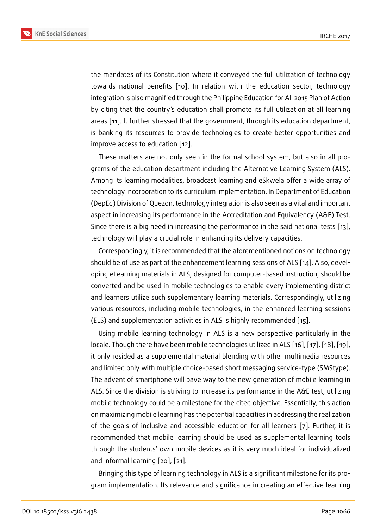the mandates of its Constitution where it conveyed the full utilization of technology towards national benefits [10]. In relation with the education sector, technology integration is also magnified through the Philippine Education for All 2015 Plan of Action by citing that the country's education shall promote its full utilization at all learning areas [11]. It further stressed [th](#page-20-9)at the government, through its education department, is banking its resources to provide technologies to create better opportunities and improve access to education [12].

The[se](#page-20-10) matters are not only seen in the formal school system, but also in all programs of the education department including the Alternative Learning System (ALS). Among its learning modalitie[s, b](#page-21-0)roadcast learning and eSkwela offer a wide array of technology incorporation to its curriculum implementation. In Department of Education (DepEd) Division of Quezon, technology integration is also seen as a vital and important aspect in increasing its performance in the Accreditation and Equivalency (A&E) Test. Since there is a big need in increasing the performance in the said national tests [13], technology will play a crucial role in enhancing its delivery capacities.

Correspondingly, it is recommended that the aforementioned notions on technology should be of use as part of the enhancement learning sessions of ALS [14]. Also, de[vel](#page-21-1)oping eLearning materials in ALS, designed for computer-based instruction, should be converted and be used in mobile technologies to enable every implementing district and learners utilize such supplementary learning materials. Correspo[nd](#page-21-2)ingly, utilizing various resources, including mobile technologies, in the enhanced learning sessions (ELS) and supplementation activities in ALS is highly recommended [15].

Using mobile learning technology in ALS is a new perspective particularly in the locale. Though there have been mobile technologies utilized in ALS [16], [17], [18], [19], it only resided as a supplemental material blending with other mult[ime](#page-21-3)dia resources and limited only with multiple choice-based short messaging service-type (SMStype). The advent of smartphone will pave way to the new generation of [m](#page-21-4)o[bile](#page-21-5) le[arn](#page-21-6)in[g i](#page-21-7)n ALS. Since the division is striving to increase its performance in the A&E test, utilizing mobile technology could be a milestone for the cited objective. Essentially, this action on maximizing mobile learning has the potential capacities in addressing the realization of the goals of inclusive and accessible education for all learners [7]. Further, it is recommended that mobile learning should be used as supplemental learning tools through the students' own mobile devices as it is very much ideal f[or](#page-20-6) individualized and informal learning [20], [21].

Bringing this type of learning technology in ALS is a significant milestone for its program implementation. [Its](#page-21-8) re[lev](#page-21-9)ance and significance in creating an effective learning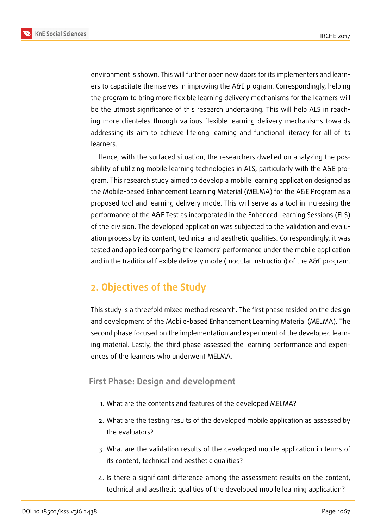



environment is shown. This will further open new doors for its implementers and learners to capacitate themselves in improving the A&E program. Correspondingly, helping the program to bring more flexible learning delivery mechanisms for the learners will be the utmost significance of this research undertaking. This will help ALS in reaching more clienteles through various flexible learning delivery mechanisms towards addressing its aim to achieve lifelong learning and functional literacy for all of its learners.

Hence, with the surfaced situation, the researchers dwelled on analyzing the possibility of utilizing mobile learning technologies in ALS, particularly with the A&E program. This research study aimed to develop a mobile learning application designed as the Mobile-based Enhancement Learning Material (MELMA) for the A&E Program as a proposed tool and learning delivery mode. This will serve as a tool in increasing the performance of the A&E Test as incorporated in the Enhanced Learning Sessions (ELS) of the division. The developed application was subjected to the validation and evaluation process by its content, technical and aesthetic qualities. Correspondingly, it was tested and applied comparing the learners' performance under the mobile application and in the traditional flexible delivery mode (modular instruction) of the A&E program.

# **2. Objectives of the Study**

This study is a threefold mixed method research. The first phase resided on the design and development of the Mobile-based Enhancement Learning Material (MELMA). The second phase focused on the implementation and experiment of the developed learning material. Lastly, the third phase assessed the learning performance and experiences of the learners who underwent MELMA.

## **First Phase: Design and development**

- 1. What are the contents and features of the developed MELMA?
- 2. What are the testing results of the developed mobile application as assessed by the evaluators?
- 3. What are the validation results of the developed mobile application in terms of its content, technical and aesthetic qualities?
- 4. Is there a significant difference among the assessment results on the content, technical and aesthetic qualities of the developed mobile learning application?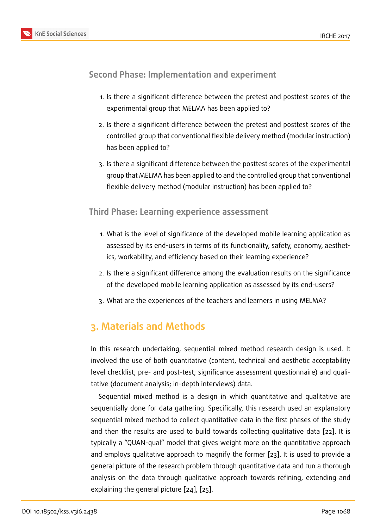### **Second Phase: Implementation and experiment**

- 1. Is there a significant difference between the pretest and posttest scores of the experimental group that MELMA has been applied to?
- 2. Is there a significant difference between the pretest and posttest scores of the controlled group that conventional flexible delivery method (modular instruction) has been applied to?
- 3. Is there a significant difference between the posttest scores of the experimental group that MELMA has been applied to and the controlled group that conventional flexible delivery method (modular instruction) has been applied to?

#### **Third Phase: Learning experience assessment**

- 1. What is the level of significance of the developed mobile learning application as assessed by its end-users in terms of its functionality, safety, economy, aesthetics, workability, and efficiency based on their learning experience?
- 2. Is there a significant difference among the evaluation results on the significance of the developed mobile learning application as assessed by its end-users?
- 3. What are the experiences of the teachers and learners in using MELMA?

# **3. Materials and Methods**

In this research undertaking, sequential mixed method research design is used. It involved the use of both quantitative (content, technical and aesthetic acceptability level checklist; pre- and post-test; significance assessment questionnaire) and qualitative (document analysis; in-depth interviews) data.

Sequential mixed method is a design in which quantitative and qualitative are sequentially done for data gathering. Specifically, this research used an explanatory sequential mixed method to collect quantitative data in the first phases of the study and then the results are used to build towards collecting qualitative data [22]. It is typically a "QUAN-qual" model that gives weight more on the quantitative approach and employs qualitative approach to magnify the former [23]. It is used to provide a general picture of the research problem through quantitative data and run at[ho](#page-21-10)rough analysis on the data through qualitative approach towar[ds](#page-22-0) refining, extending and explaining the general picture [24], [25].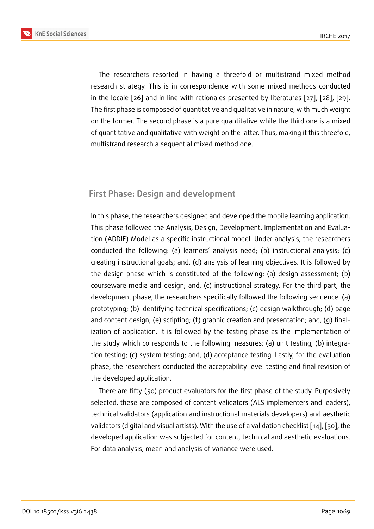The researchers resorted in having a threefold or multistrand mixed method research strategy. This is in correspondence with some mixed methods conducted in the locale [26] and in line with rationales presented by literatures [27], [28], [29]. The first phase is composed of quantitative and qualitative in nature, with much weight on the former. The second phase is a pure quantitative while the third one is a mixed of quantitativ[e an](#page-22-1)d qualitative with weight on the latter. Thus, making i[t th](#page-22-2)is [thr](#page-22-3)ee[fold](#page-22-4), multistrand research a sequential mixed method one.

### **First Phase: Design and development**

In this phase, the researchers designed and developed the mobile learning application. This phase followed the Analysis, Design, Development, Implementation and Evaluation (ADDIE) Model as a specific instructional model. Under analysis, the researchers conducted the following: (a) learners' analysis need; (b) instructional analysis; (c) creating instructional goals; and, (d) analysis of learning objectives. It is followed by the design phase which is constituted of the following: (a) design assessment; (b) courseware media and design; and, (c) instructional strategy. For the third part, the development phase, the researchers specifically followed the following sequence: (a) prototyping; (b) identifying technical specifications; (c) design walkthrough; (d) page and content design; (e) scripting; (f) graphic creation and presentation; and, (g) finalization of application. It is followed by the testing phase as the implementation of the study which corresponds to the following measures: (a) unit testing; (b) integration testing; (c) system testing; and, (d) acceptance testing. Lastly, for the evaluation phase, the researchers conducted the acceptability level testing and final revision of the developed application.

There are fifty (50) product evaluators for the first phase of the study. Purposively selected, these are composed of content validators (ALS implementers and leaders), technical validators (application and instructional materials developers) and aesthetic validators (digital and visual artists). With the use of a validation checklist [14], [30], the developed application was subjected for content, technical and aesthetic evaluations. For data analysis, mean and analysis of variance were used.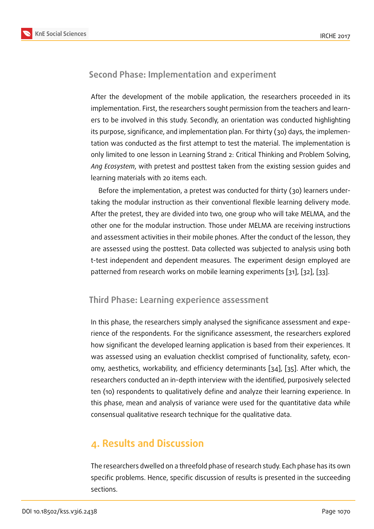#### **Second Phase: Implementation and experiment**

After the development of the mobile application, the researchers proceeded in its implementation. First, the researchers sought permission from the teachers and learners to be involved in this study. Secondly, an orientation was conducted highlighting its purpose, significance, and implementation plan. For thirty (30) days, the implementation was conducted as the first attempt to test the material. The implementation is only limited to one lesson in Learning Strand 2: Critical Thinking and Problem Solving, *Ang Ecosystem*, with pretest and posttest taken from the existing session guides and learning materials with 20 items each.

Before the implementation, a pretest was conducted for thirty (30) learners undertaking the modular instruction as their conventional flexible learning delivery mode. After the pretest, they are divided into two, one group who will take MELMA, and the other one for the modular instruction. Those under MELMA are receiving instructions and assessment activities in their mobile phones. After the conduct of the lesson, they are assessed using the posttest. Data collected was subjected to analysis using both t-test independent and dependent measures. The experiment design employed are patterned from research works on mobile learning experiments [31], [32], [33].

#### **Third Phase: Learning experience assessment**

In this phase, the researchers simply analysed the significance assessment and experience of the respondents. For the significance assessment, the researchers explored how significant the developed learning application is based from their experiences. It was assessed using an evaluation checklist comprised of functionality, safety, economy, aesthetics, workability, and efficiency determinants [34], [35]. After which, the researchers conducted an in-depth interview with the identified, purposively selected ten (10) respondents to qualitatively define and analyze their learning experience. In this phase, mean and analysis of variance were used for t[he](#page-22-5) qu[an](#page-23-0)titative data while consensual qualitative research technique for the qualitative data.

# **4. Results and Discussion**

The researchers dwelled on a threefold phase of research study. Each phase has its own specific problems. Hence, specific discussion of results is presented in the succeeding sections.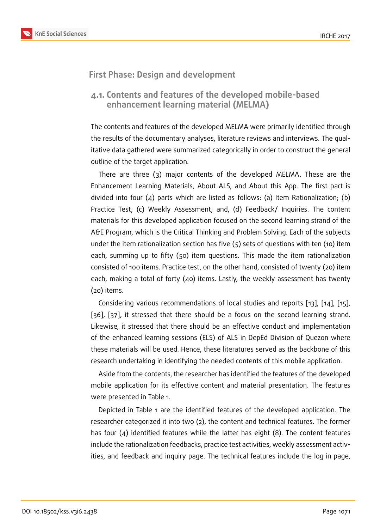#### **First Phase: Design and development**

#### **4.1. Contents and features of the developed mobile-based enhancement learning material (MELMA)**

The contents and features of the developed MELMA were primarily identified through the results of the documentary analyses, literature reviews and interviews. The qualitative data gathered were summarized categorically in order to construct the general outline of the target application.

There are three (3) major contents of the developed MELMA. These are the Enhancement Learning Materials, About ALS, and About this App. The first part is divided into four (4) parts which are listed as follows: (a) Item Rationalization; (b) Practice Test; (c) Weekly Assessment; and, (d) Feedback/ Inquiries. The content materials for this developed application focused on the second learning strand of the A&E Program, which is the Critical Thinking and Problem Solving. Each of the subjects under the item rationalization section has five  $(5)$  sets of questions with ten  $(10)$  item each, summing up to fifty (50) item questions. This made the item rationalization consisted of 100 items. Practice test, on the other hand, consisted of twenty (20) item each, making a total of forty (40) items. Lastly, the weekly assessment has twenty (20) items.

Considering various recommendations of local studies and reports [13], [14], [15], [36], [37], it stressed that there should be a focus on the second learning strand. Likewise, it stressed that there should be an effective conduct and implementation of the enhanced learning sessions (ELS) of ALS in DepEd Division of [Que](#page-21-1)z[on](#page-21-2) w[her](#page-21-3)e t[hes](#page-23-1)e [ma](#page-23-2)terials will be used. Hence, these literatures served as the backbone of this research undertaking in identifying the needed contents of this mobile application.

Aside from the contents, the researcher has identified the features of the developed mobile application for its effective content and material presentation. The features were presented in Table 1.

Depicted in Table 1 are the identified features of the developed application. The researcher categorized it into two (2), the content and technical features. The former has four (4) identified features while the latter has eight (8). The content features include the rationalization feedbacks, practice test activities, weekly assessment activities, and feedback and inquiry page. The technical features include the log in page,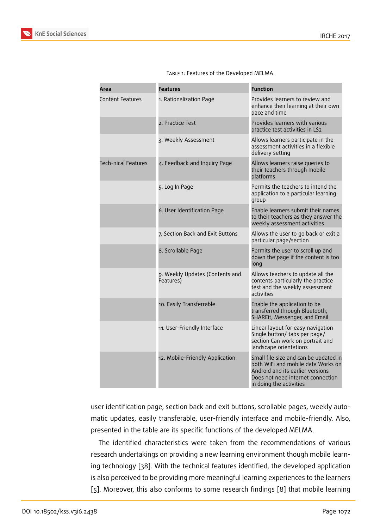| Area                       | <b>Features</b>                              | <b>Function</b>                                                                                                                                                                 |
|----------------------------|----------------------------------------------|---------------------------------------------------------------------------------------------------------------------------------------------------------------------------------|
| <b>Content Features</b>    | 1. Rationalization Page                      | Provides learners to review and<br>enhance their learning at their own<br>pace and time                                                                                         |
|                            | 2. Practice Test                             | Provides learners with various<br>practice test activities in LS2                                                                                                               |
|                            | 3. Weekly Assessment                         | Allows learners participate in the<br>assessment activities in a flexible<br>delivery setting                                                                                   |
| <b>Tech-nical Features</b> | 4. Feedback and Inquiry Page                 | Allows learners raise queries to<br>their teachers through mobile<br>platforms                                                                                                  |
|                            | 5. Log In Page                               | Permits the teachers to intend the<br>application to a particular learning<br>group                                                                                             |
|                            | 6. User Identification Page                  | Enable learners submit their names<br>to their teachers as they answer the<br>weekly assessment activities                                                                      |
|                            | 7. Section Back and Exit Buttons             | Allows the user to go back or exit a<br>particular page/section                                                                                                                 |
|                            | 8. Scrollable Page                           | Permits the user to scroll up and<br>down the page if the content is too<br>long                                                                                                |
|                            | 9. Weekly Updates (Contents and<br>Features) | Allows teachers to update all the<br>contents particularly the practice<br>test and the weekly assessment<br>activities                                                         |
|                            | 10. Easily Transferrable                     | Enable the application to be<br>transferred through Bluetooth,<br>SHAREit, Messenger, and Email                                                                                 |
|                            | 11. User-Friendly Interface                  | Linear layout for easy navigation<br>Single button/ tabs per page/<br>section Can work on portrait and<br>landscape orientations                                                |
|                            | 12. Mobile-Friendly Application              | Small file size and can be updated in<br>both WiFi and mobile data Works on<br>Android and its earlier versions<br>Does not need internet connection<br>in doing the activities |

TABLE 1: Features of the Developed MELMA.

user identification page, section back and exit buttons, scrollable pages, weekly automatic updates, easily transferable, user-friendly interface and mobile-friendly. Also, presented in the table are its specific functions of the developed MELMA.

The identified characteristics were taken from the recommendations of various research undertakings on providing a new learning environment though mobile learning technology [38]. With the technical features identified, the developed application is also perceived to be providing more meaningful learning experiences to the learners [5]. Moreover, t[his](#page-23-3) also conforms to some research findings [8] that mobile learning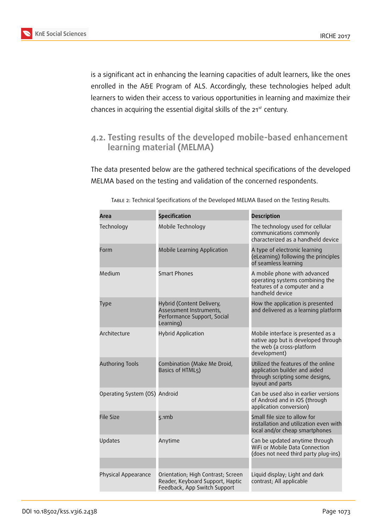

is a significant act in enhancing the learning capacities of adult learners, like the ones enrolled in the A&E Program of ALS. Accordingly, these technologies helped adult learners to widen their access to various opportunities in learning and maximize their chances in acquiring the essential digital skills of the  $21^{st}$  century.

# **4.2. Testing results of the developed mobile-based enhancement learning material (MELMA)**

The data presented below are the gathered technical specifications of the developed MELMA based on the testing and validation of the concerned respondents.

| Area                          | <b>Specification</b>                                                                                   | <b>Description</b>                                                                                                          |
|-------------------------------|--------------------------------------------------------------------------------------------------------|-----------------------------------------------------------------------------------------------------------------------------|
| Technology                    | Mobile Technology                                                                                      | The technology used for cellular<br>communications commonly<br>characterized as a handheld device                           |
| Form                          | Mobile Learning Application                                                                            | A type of electronic learning<br>(eLearning) following the principles<br>of seamless learning                               |
| Medium                        | <b>Smart Phones</b>                                                                                    | A mobile phone with advanced<br>operating systems combining the<br>features of a computer and a<br>handheld device          |
| Type                          | Hybrid (Content Delivery,<br>Assessment Instruments,<br>Performance Support, Social<br>Learning)       | How the application is presented<br>and delivered as a learning platform                                                    |
| Architecture                  | <b>Hybrid Application</b>                                                                              | Mobile interface is presented as a<br>native app but is developed through<br>the web (a cross-platform<br>development)      |
| Authoring Tools               | Combination (Make Me Droid,<br>Basics of HTML5)                                                        | Utilized the features of the online<br>application builder and aided<br>through scripting some designs,<br>layout and parts |
| Operating System (OS) Android |                                                                                                        | Can be used also in earlier versions<br>of Android and in iOS (through<br>application conversion)                           |
| <b>File Size</b>              | 5.1mb                                                                                                  | Small file size to allow for<br>installation and utilization even with<br>local and/or cheap smartphones                    |
| Updates                       | Anytime                                                                                                | Can be updated anytime through<br>WiFi or Mobile Data Connection<br>(does not need third party plug-ins)                    |
| Physical Appearance           | Orientation; High Contrast; Screen<br>Reader, Keyboard Support, Haptic<br>Feedback, App Switch Support | Liquid display; Light and dark<br>contrast; All applicable                                                                  |

Table 2: Technical Specifications of the Developed MELMA Based on the Testing Results.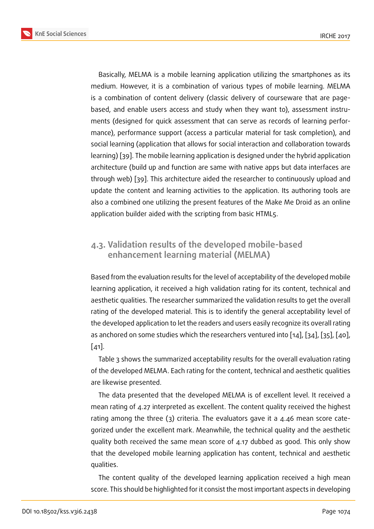Basically, MELMA is a mobile learning application utilizing the smartphones as its medium. However, it is a combination of various types of mobile learning. MELMA is a combination of content delivery (classic delivery of courseware that are pagebased, and enable users access and study when they want to), assessment instruments (designed for quick assessment that can serve as records of learning performance), performance support (access a particular material for task completion), and social learning (application that allows for social interaction and collaboration towards learning) [39]. The mobile learning application is designed under the hybrid application architecture (build up and function are same with native apps but data interfaces are through web) [39]. This architecture aided the researcher to continuously upload and update th[e c](#page-23-4)ontent and learning activities to the application. Its authoring tools are also a combined one utilizing the present features of the Make Me Droid as an online application buil[de](#page-23-4)r aided with the scripting from basic HTML5.

# **4.3. Validation results of the developed mobile-based enhancement learning material (MELMA)**

Based from the evaluation results for the level of acceptability of the developed mobile learning application, it received a high validation rating for its content, technical and aesthetic qualities. The researcher summarized the validation results to get the overall rating of the developed material. This is to identify the general acceptability level of the developed application to let the readers and users easily recognize its overall rating as anchored on some studies which the researchers ventured into [14], [34], [35], [40], [41].

Table 3 shows the summarized acceptability results for the overall evaluation rating of the developed MELMA. Each rating for the content, technical an[d ae](#page-21-2)s[the](#page-22-5)ti[c qu](#page-23-0)al[itie](#page-23-5)s [are](#page-23-6) likewise presented.

The data presented that the developed MELMA is of excellent level. It received a mean rating of 4.27 interpreted as excellent. The content quality received the highest rating among the three (3) criteria. The evaluators gave it a 4.46 mean score categorized under the excellent mark. Meanwhile, the technical quality and the aesthetic quality both received the same mean score of 4.17 dubbed as good. This only show that the developed mobile learning application has content, technical and aesthetic qualities.

The content quality of the developed learning application received a high mean score. This should be highlighted for it consist the most important aspects in developing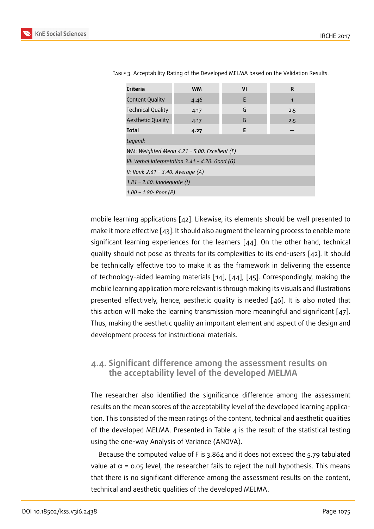| Criteria                         | <b>WM</b>                                            | VI | R   |  |  |  |
|----------------------------------|------------------------------------------------------|----|-----|--|--|--|
| Content Quality                  | 4.46                                                 | E  | 1   |  |  |  |
| Technical Quality                | 4.17                                                 | G  | 2.5 |  |  |  |
| <b>Aesthetic Quality</b>         | 4.17                                                 | G  | 2.5 |  |  |  |
| Total                            | 4.27                                                 | E  |     |  |  |  |
| Legend:                          |                                                      |    |     |  |  |  |
|                                  | WM: Weighted Mean $4.21$ - 5.00: Excellent (E)       |    |     |  |  |  |
|                                  | VI: Verbal Interpretation $3.41$ - $4.20$ : Good (G) |    |     |  |  |  |
| R: Rank 2.61 – 3.40: Average (A) |                                                      |    |     |  |  |  |
| 1.81 - 2.60: Inadequate (I)      |                                                      |    |     |  |  |  |
| 1.00 - 1.80: Poor $(P)$          |                                                      |    |     |  |  |  |

Table 3: Acceptability Rating of the Developed MELMA based on the Validation Results.

mobile learning applications [42]. Likewise, its elements should be well presented to make it more effective [43]. It should also augment the learning process to enable more significant learning experiences for the learners  $[44]$ . On the other hand, technical quality should not pose as th[rea](#page-23-7)ts for its complexities to its end-users [42]. It should be technically effectiv[e to](#page-23-8)o to make it as the framework in delivering the essence of technology-aided learning materials [14], [44], [\[45](#page-23-9)]. Correspondingly, making the mobile learning application more relevant is through making its visuals a[nd il](#page-23-7)lustrations presented effectively, hence, aesthetic quality is needed [46]. It is also noted that this action will make the learning trans[miss](#page-21-2)io[n m](#page-23-9)or[e m](#page-23-10)eaningful and significant  $[47]$ . Thus, making the aesthetic quality an important element an[d as](#page-23-11)pect of the design and development process for instructional materials.

#### **4.4. Significant difference among the assessment results on the acceptability level of the developed MELMA**

The researcher also identified the significance difference among the assessment results on the mean scores of the acceptability level of the developed learning application. This consisted of the mean ratings of the content, technical and aesthetic qualities of the developed MELMA. Presented in Table  $4$  is the result of the statistical testing using the one-way Analysis of Variance (ANOVA).

Because the computed value of F is 3.864 and it does not exceed the 5.79 tabulated value at  $\alpha$  = 0.05 level, the researcher fails to reject the null hypothesis. This means that there is no significant difference among the assessment results on the content, technical and aesthetic qualities of the developed MELMA.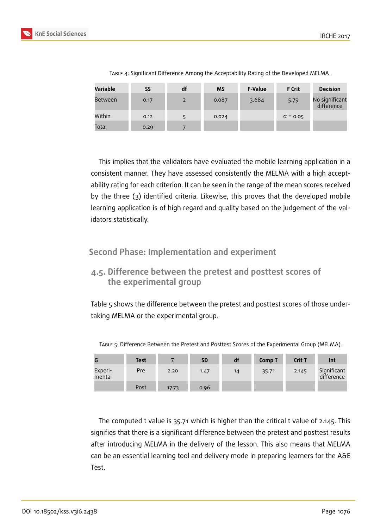

| <b>Variable</b> | <b>SS</b> | df | <b>MS</b> | <b>F-Value</b> | <b>F</b> Crit   | <b>Decision</b>              |
|-----------------|-----------|----|-----------|----------------|-----------------|------------------------------|
| Between         | 0.17      | 2  | 0.087     | 3.684          | 5.79            | No significant<br>difference |
| Within          | 0.12      |    | 0.024     |                | $\alpha$ = 0.05 |                              |
| Total           | 0.29      |    |           |                |                 |                              |

Table 4: Significant Difference Among the Acceptability Rating of the Developed MELMA .

This implies that the validators have evaluated the mobile learning application in a consistent manner. They have assessed consistently the MELMA with a high acceptability rating for each criterion. It can be seen in the range of the mean scores received by the three (3) identified criteria. Likewise, this proves that the developed mobile learning application is of high regard and quality based on the judgement of the validators statistically.

**Second Phase: Implementation and experiment**

# **4.5. Difference between the pretest and posttest scores of the experimental group**

Table 5 shows the difference between the pretest and posttest scores of those undertaking MELMA or the experimental group.

|                   | <b>Test</b> | $\overline{x}$ | <b>SD</b> | df | Comp T | Crit T | Int                       |
|-------------------|-------------|----------------|-----------|----|--------|--------|---------------------------|
| Experi-<br>mental | Pre         | 2.20           | 1.47      | 14 | 35.71  | 2.145  | Significant<br>difference |
|                   | Post        | 17.73          | 0.96      |    |        |        |                           |

Table 5: Difference Between the Pretest and Posttest Scores of the Experimental Group (MELMA).

The computed t value is 35.71 which is higher than the critical t value of 2.145. This signifies that there is a significant difference between the pretest and posttest results after introducing MELMA in the delivery of the lesson. This also means that MELMA can be an essential learning tool and delivery mode in preparing learners for the A&E Test.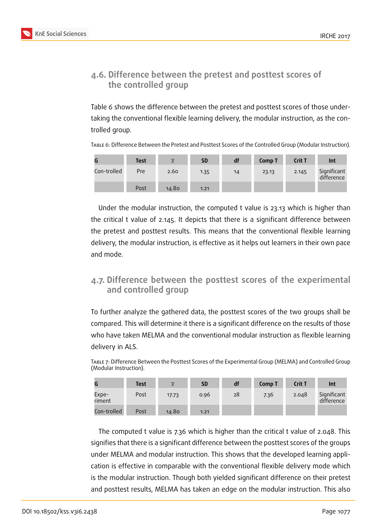

# **4.6. Difference between the pretest and posttest scores of the controlled group**

Table 6 shows the difference between the pretest and posttest scores of those undertaking the conventional flexible learning delivery, the modular instruction, as the controlled group.

Table 6: Difference Between the Pretest and Posttest Scores of the Controlled Group (Modular Instruction).

|             | <b>Test</b> | $\overline{x}$ | <b>SD</b> | df | Comp T | Crit T | Int                       |
|-------------|-------------|----------------|-----------|----|--------|--------|---------------------------|
| Con-trolled | Pre         | 2.60           | 1.35      | 14 | 23.13  | 2.145  | Significant<br>difference |
|             | Post        | 14.80          | 1.21      |    |        |        |                           |

Under the modular instruction, the computed t value is 23.13 which is higher than the critical t value of 2.145. It depicts that there is a significant difference between the pretest and posttest results. This means that the conventional flexible learning delivery, the modular instruction, is effective as it helps out learners in their own pace and mode.

## **4.7. Difference between the posttest scores of the experimental and controlled group**

To further analyze the gathered data, the posttest scores of the two groups shall be compared. This will determine it there is a significant difference on the results of those who have taken MELMA and the conventional modular instruction as flexible learning delivery in ALS.

Table 7: Difference Between the Posttest Scores of the Experimental Group (MELMA) and Controlled Group (Modular Instruction).

|                 | <b>Test</b> | $\overline{x}$ | <b>SD</b> | df | Comp T | Crit T | Int                       |
|-----------------|-------------|----------------|-----------|----|--------|--------|---------------------------|
| Expe-<br>riment | Post        | 17.73          | 0.96      | 28 | 7.36   | 2.048  | Significant<br>difference |
| Con-trolled     | Post        | 14.80          | 1.21      |    |        |        |                           |

The computed t value is 7.36 which is higher than the critical t value of 2.048. This signifies that there is a significant difference between the posttest scores of the groups under MELMA and modular instruction. This shows that the developed learning application is effective in comparable with the conventional flexible delivery mode which is the modular instruction. Though both yielded significant difference on their pretest and posttest results, MELMA has taken an edge on the modular instruction. This also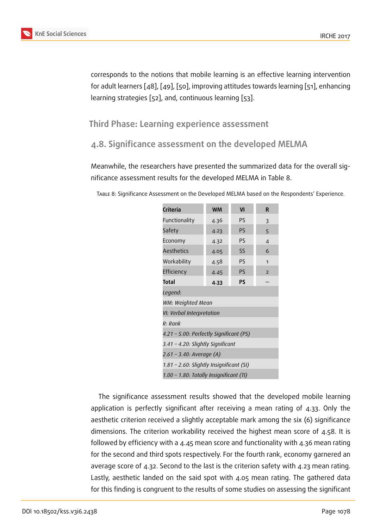corresponds to the notions that mobile learning is an effective learning intervention for adult learners [48], [49], [50], improving attitudes towards learning [51], enhancing learning strategies [52], and, continuous learning [53].

# **Third Phase: L[ea](#page-24-0)[rn](#page-24-3)[ing](#page-24-1) [exp](#page-24-2)erience asse[ssm](#page-24-4)ent**

# **4.8. Significance assessment on the developed MELMA**

Meanwhile, the researchers have presented the summarized data for the overall significance assessment results for the developed MELMA in Table 8.

| Criteria                                 | <b>WM</b>                               | VI | R              |  |  |  |
|------------------------------------------|-----------------------------------------|----|----------------|--|--|--|
| Functionality                            | 4.36                                    | PS | $\overline{3}$ |  |  |  |
| Safety                                   | 4.23                                    | PS | 5              |  |  |  |
| Economy                                  | 4.32                                    | PS | 4              |  |  |  |
| <b>Aesthetics</b>                        | 4.05                                    | SS | 6              |  |  |  |
| Workability                              | 4.58                                    | PS | 1              |  |  |  |
| Efficiency                               | 4.45                                    | PS | $\overline{2}$ |  |  |  |
| <b>PS</b><br><b>Total</b><br>4.33        |                                         |    |                |  |  |  |
| Legend:                                  |                                         |    |                |  |  |  |
| WM: Weighted Mean                        |                                         |    |                |  |  |  |
| VI: Verbal Interpretation                |                                         |    |                |  |  |  |
| R: Rank                                  |                                         |    |                |  |  |  |
| 4.21 - 5.00: Perfectly Significant (PS)  |                                         |    |                |  |  |  |
| 3.41 – 4.20: Slightly Significant        |                                         |    |                |  |  |  |
| 2.61 - 3.40: Average (A)                 |                                         |    |                |  |  |  |
| 1.81 - 2.60: Slightly Insignificant (SI) |                                         |    |                |  |  |  |
|                                          | 1.00 - 1.80: Totally Insignificant (TI) |    |                |  |  |  |

Table 8: Significance Assessment on the Developed MELMA based on the Respondents' Experience.

The significance assessment results showed that the developed mobile learning application is perfectly significant after receiving a mean rating of 4.33. Only the aesthetic criterion received a slightly acceptable mark among the six (6) significance dimensions. The criterion workability received the highest mean score of 4.58. It is followed by efficiency with a 4.45 mean score and functionality with 4.36 mean rating for the second and third spots respectively. For the fourth rank, economy garnered an average score of 4.32. Second to the last is the criterion safety with 4.23 mean rating. Lastly, aesthetic landed on the said spot with 4.05 mean rating. The gathered data for this finding is congruent to the results of some studies on assessing the significant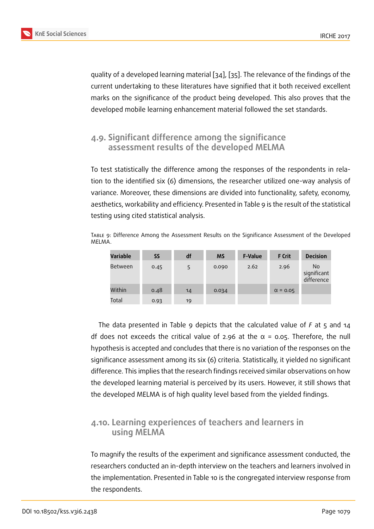quality of a developed learning material [34], [35]. The relevance of the findings of the current undertaking to these literatures have signified that it both received excellent marks on the significance of the product being developed. This also proves that the developed mobile learning enhancemen[t m](#page-22-5)at[eria](#page-23-0)l followed the set standards.

### **4.9. Significant difference among the significance assessment results of the developed MELMA**

To test statistically the difference among the responses of the respondents in relation to the identified six (6) dimensions, the researcher utilized one-way analysis of variance. Moreover, these dimensions are divided into functionality, safety, economy, aesthetics, workability and efficiency. Presented in Table 9 is the result of the statistical testing using cited statistical analysis.

Table 9: Difference Among the Assessment Results on the Significance Assessment of the Developed MELMA.

| <b>Variable</b> | SS   | df | <b>MS</b> | <b>F-Value</b> | <b>F</b> Crit   | <b>Decision</b>                  |
|-----------------|------|----|-----------|----------------|-----------------|----------------------------------|
| Between         | 0.45 | 5  | 0.090     | 2.62           | 2.96            | No.<br>significant<br>difference |
| Within          | 0.48 | 14 | 0.034     |                | $\alpha$ = 0.05 |                                  |
| Total           | 0.93 | 19 |           |                |                 |                                  |

The data presented in Table 9 depicts that the calculated value of *F* at 5 and 14 df does not exceeds the critical value of 2.96 at the  $\alpha$  = 0.05. Therefore, the null hypothesis is accepted and concludes that there is no variation of the responses on the significance assessment among its six (6) criteria. Statistically, it yielded no significant difference. This implies that the research findings received similar observations on how the developed learning material is perceived by its users. However, it still shows that the developed MELMA is of high quality level based from the yielded findings.

### **4.10. Learning experiences of teachers and learners in using MELMA**

To magnify the results of the experiment and significance assessment conducted, the researchers conducted an in-depth interview on the teachers and learners involved in the implementation. Presented in Table 10 is the congregated interview response from the respondents.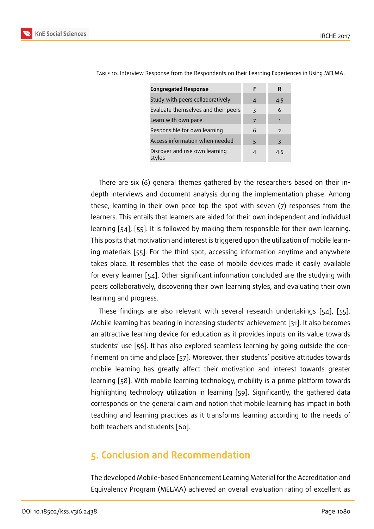| <b>Congregated Response</b>             | F | R              |
|-----------------------------------------|---|----------------|
| Study with peers collaboratively        | 4 | 4.5            |
| Evaluate themselves and their peers     | 3 | 6              |
| Learn with own pace                     | 7 | 1              |
| Responsible for own learning            | 6 | $\overline{z}$ |
| Access information when needed          | 5 | 3              |
| Discover and use own learning<br>styles | Δ | 4.5            |

Table 10: Interview Response from the Respondents on their Learning Experiences in Using MELMA.

There are six (6) general themes gathered by the researchers based on their indepth interviews and document analysis during the implementation phase. Among these, learning in their own pace top the spot with seven (7) responses from the learners. This entails that learners are aided for their own independent and individual learning [54], [55]. It is followed by making them responsible for their own learning. This posits that motivation and interest is triggered upon the utilization of mobile learning materials [55]. For the third spot, accessing information anytime and anywhere takes pla[ce.](#page-24-5) It [re](#page-24-6)sembles that the ease of mobile devices made it easily available for every learner [54]. Other significant information concluded are the studying with peers collabor[ativ](#page-24-6)ely, discovering their own learning styles, and evaluating their own learning and progress.

These findings [are](#page-24-5) also relevant with several research undertakings [54], [55]. Mobile learning has bearing in increasing students' achievement [31]. It also becomes an attractive learning device for education as it provides inputs on its value towards students' use [56]. It has also explored seamless learning by going outsid[e th](#page-24-5)e [con](#page-24-6)finement on time and place [57]. Moreover, their students' positi[ve](#page-22-6) attitudes towards mobile learning has greatly affect their motivation and interest towards greater learning [58]. [Wit](#page-24-7)h mobile learning technology, mobility is a prime platform towards highlighting technology utili[zat](#page-24-8)ion in learning [59]. Significantly, the gathered data corresponds on the general claim and notion that mobile learning has impact in both teaching [and](#page-24-9) learning practices as it transform[s le](#page-24-10)arning according to the needs of both teachers and students [60].

# **5. Conclusion and R[ec](#page-25-0)ommendation**

The developed Mobile-based Enhancement Learning Material for the Accreditation and Equivalency Program (MELMA) achieved an overall evaluation rating of excellent as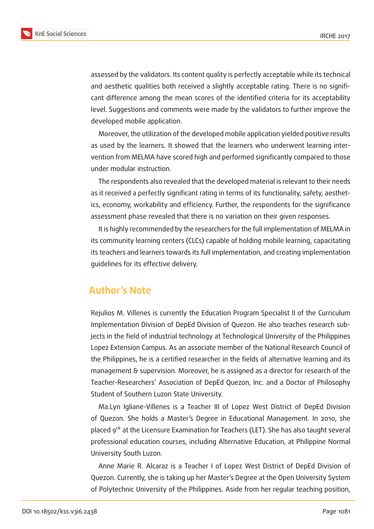

assessed by the validators. Its content quality is perfectly acceptable while its technical and aesthetic qualities both received a slightly acceptable rating. There is no significant difference among the mean scores of the identified criteria for its acceptability level. Suggestions and comments were made by the validators to further improve the developed mobile application.

Moreover, the utilization of the developed mobile application yielded positive results as used by the learners. It showed that the learners who underwent learning intervention from MELMA have scored high and performed significantly compared to those under modular instruction.

The respondents also revealed that the developed material is relevant to their needs as it received a perfectly significant rating in terms of its functionality, safety, aesthetics, economy, workability and efficiency. Further, the respondents for the significance assessment phase revealed that there is no variation on their given responses.

It is highly recommended by the researchers for the full implementation of MELMA in its community learning centers (CLCs) capable of holding mobile learning, capacitating its teachers and learners towards its full implementation, and creating implementation guidelines for its effective delivery.

# **Author's Note**

Rejulios M. Villenes is currently the Education Program Specialist II of the Curriculum Implementation Division of DepEd Division of Quezon. He also teaches research subjects in the field of industrial technology at Technological University of the Philippines Lopez Extension Campus. As an associate member of the National Research Council of the Philippines, he is a certified researcher in the fields of alternative learning and its management & supervision. Moreover, he is assigned as a director for research of the Teacher-Researchers' Association of DepEd Quezon, Inc. and a Doctor of Philosophy Student of Southern Luzon State University.

Ma.Lyn Igliane-Villenes is a Teacher III of Lopez West District of DepEd Division of Quezon. She holds a Master's Degree in Educational Management. In 2010, she placed  $9<sup>th</sup>$  at the Licensure Examination for Teachers (LET). She has also taught several professional education courses, including Alternative Education, at Philippine Normal University South Luzon.

Anne Marie R. Alcaraz is a Teacher I of Lopez West District of DepEd Division of Quezon. Currently, she is taking up her Master's Degree at the Open University System of Polytechnic University of the Philippines. Aside from her regular teaching position,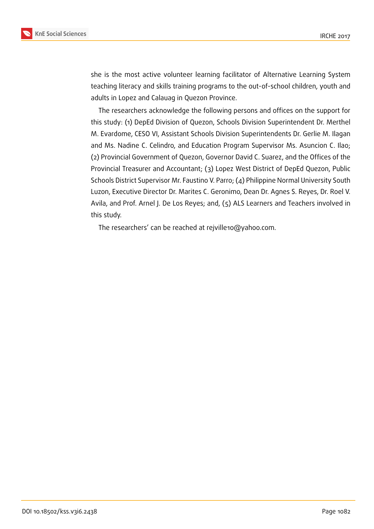



she is the most active volunteer learning facilitator of Alternative Learning System teaching literacy and skills training programs to the out-of-school children, youth and adults in Lopez and Calauag in Quezon Province.

The researchers acknowledge the following persons and offices on the support for this study: (1) DepEd Division of Quezon, Schools Division Superintendent Dr. Merthel M. Evardome, CESO VI, Assistant Schools Division Superintendents Dr. Gerlie M. Ilagan and Ms. Nadine C. Celindro, and Education Program Supervisor Ms. Asuncion C. Ilao; (2) Provincial Government of Quezon, Governor David C. Suarez, and the Offices of the Provincial Treasurer and Accountant; (3) Lopez West District of DepEd Quezon, Public Schools District Supervisor Mr. Faustino V. Parro; (4) Philippine Normal University South Luzon, Executive Director Dr. Marites C. Geronimo, Dean Dr. Agnes S. Reyes, Dr. Roel V. Avila, and Prof. Arnel J. De Los Reyes; and, (5) ALS Learners and Teachers involved in this study.

The researchers' can be reached at rejville10@yahoo.com.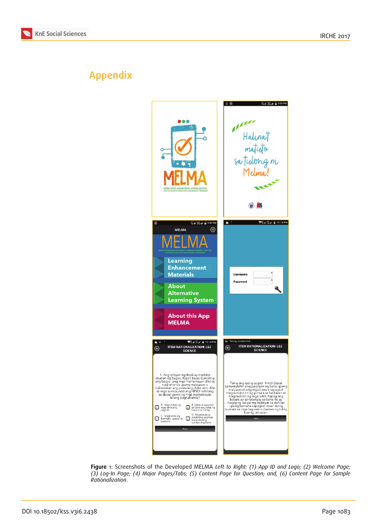



# **Appendix**



**Figure** 1: Screenshots of the Developed MELMA *Left to Right: (1) App ID and Logo; (2) Welcome Page; (3) Log-In Page; (4) Major Pages/Tabs; (5) Content Page for Question; and, (6) Content Page for Sample Rationalization*.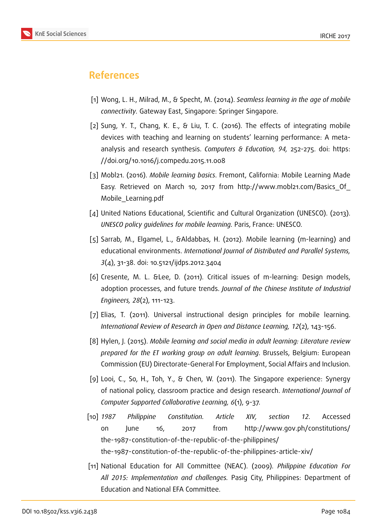# **References**

- [1] Wong, L. H., Milrad, M., & Specht, M. (2014). *Seamless learning in the age of mobile connectivity.* Gateway East, Singapore: Springer Singapore.
- <span id="page-20-0"></span>[2] Sung, Y. T., Chang, K. E., & Liu, T. C. (2016). The effects of integrating mobile devices with teaching and learning on students' learning performance: A metaanalysis and research synthesis. *Computers & Education, 94,* 252-275. doi: https: //doi.org/10.1016/j.compedu.2015.11.008
- <span id="page-20-1"></span>[3] Mobl21. (2016). *Mobile learning basics*. Fremont, California: Mobile Learning [Made](https://doi.org/10.1016/j.compedu.2015.11.008) [Easy. Retrieved on March 10, 2017 fro](https://doi.org/10.1016/j.compedu.2015.11.008)m http://www.mobl21.com/Basics\_Of\_ Mobile\_Learning.pdf
- <span id="page-20-2"></span>[4] United Nations Educational, Scientific and C[ultural Organization \(UNESCO\). \(2013\).](http://www.mobl21.com/Basics_Of_Mobile_Learning.pdf) *[UNESCO policy guidelin](http://www.mobl21.com/Basics_Of_Mobile_Learning.pdf)es for mobile learning.* Paris, France: UNESCO.
- <span id="page-20-3"></span>[5] Sarrab, M., Elgamel, L., &Aldabbas, H. (2012). Mobile learning (m-learning) and educational environments. *International Journal of Distributed and Parallel Systems, 3*(4), 31-38. doi: 10.5121/ijdps.2012.3404
- <span id="page-20-4"></span>[6] Cresente, M. L. &Lee, D. (2011). Critical issues of m-learning: Design models, adoption processes, and future trends. *Journal of the Chinese Institute of Industrial Engineers, 28*(2), 111-123.
- <span id="page-20-5"></span>[7] Elias, T. (2011). Universal instructional design principles for mobile learning. *International Review of Research in Open and Distance Learning, 12*(2), 143-156.
- <span id="page-20-6"></span>[8] Hylen, J. (2015). *Mobile learning and social media in adult learning: Literature review prepared for the ET working group on adult learning*. Brussels, Belgium: European Commission (EU) Directorate-General For Employment, Social Affairs and Inclusion.
- <span id="page-20-7"></span>[9] Looi, C., So, H., Toh, Y., & Chen, W. (2011). The Singapore experience: Synergy of national policy, classroom practice and design research. *International Journal of Computer Supported Collaborative Learning, 6*(1), 9-37.
- <span id="page-20-8"></span>[10] *1987 Philippine Constitution. Article XIV, section 12.* Accessed on June 16, 2017 from http://www.gov.ph/constitutions/ the-1987-constitution-of-the-republic-of-the-philippines/ the-1987-constitution-of-the-republic-of-the-philippines-article-xiv/
- <span id="page-20-10"></span><span id="page-20-9"></span>[11] [National Education for All Committee \(NEAC\). \(2009\).](http://www.gov.ph/constitutions/the-1987-constitution-of-the-republic-of-the-philippines/the-1987-constitution-of-the-republic-of-the-philippines-article-xiv/) *[Philippine Education For](http://www.gov.ph/constitutions/the-1987-constitution-of-the-republic-of-the-philippines/the-1987-constitution-of-the-republic-of-the-philippines-article-xiv/) [All 2015: Implementation and challenges.](http://www.gov.ph/constitutions/the-1987-constitution-of-the-republic-of-the-philippines/the-1987-constitution-of-the-republic-of-the-philippines-article-xiv/)* Pasig City, Philippines: Department of Education and National EFA Committee.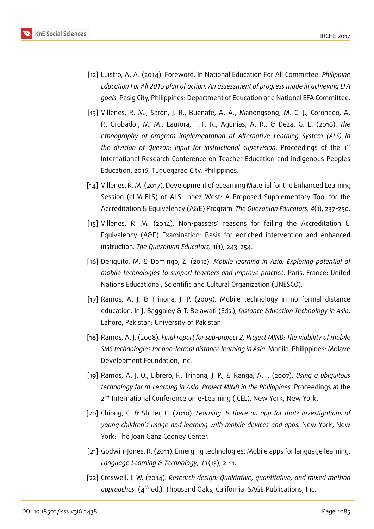

- <span id="page-21-0"></span>[12] Luistro, A. A. (2014). Foreword. In National Education For All Committee. *Philippine Education For All 2015 plan of action: An assessment of progress made in achieving EFA goals.* Pasig City, Philippines: Department of Education and National EFA Committee.
- <span id="page-21-1"></span>[13] Villenes, R. M., Saron, J. R., Buenafe, A. A., Manongsong, M. C. J., Coronado, A. P., Grobador, M. M., Laurora, F. F. R., Agunias, A. R., & Deza, G. E. (2016). *The ethnography of program implementation of Alternative Learning System (ALS) in the division of Quezon: Input for instructional supervision.* Proceedings of the 1 International Research Conference on Teacher Education and Indigenous Peoples Education, 2016, Tuguegarao City, Philippines.
- <span id="page-21-2"></span>[14] Villenes, R. M. (2017). Development of eLearning Material for the Enhanced Learning Session (eLM-ELS) of ALS Lopez West: A Proposed Supplementary Tool for the Accreditation & Equivalency (A&E) Program. *The Quezonian Educators, 4*(1), 237-250.
- <span id="page-21-3"></span>[15] Villenes, R. M. (2014). Non-passers' reasons for failing the Accreditation & Equivalency (A&E) Examination: Basis for enriched intervention and enhanced instruction. *The Quezonian Educators,* 1(1), 243-254.
- <span id="page-21-4"></span>[16] Deriquito, M. & Domingo, Z. (2012). *Mobile learning in Asia: Exploring potential of mobile technologies to support teachers and improve practice*. Paris, France: United Nations Educational, Scientific and Cultural Organization (UNESCO).
- <span id="page-21-5"></span>[17] Ramos, A. J. & Trinona, J. P. (2009). Mobile technology in nonformal distance education. In J. Baggaley & T. Belawati (Eds.), *Distance Education Technology in Asia*. Lahore, Pakistan: University of Pakistan.
- <span id="page-21-6"></span>[18] Ramos, A. J. (2008). *Final report for sub-project 2, Project MIND: The viability of mobile SMS technologies for non-formal distance learning in Asia.* Manila, Philippines: Molave Development Foundation, Inc.
- <span id="page-21-7"></span>[19] Ramos, A. J. O., Librero, F., Trinona, J. P., & Ranga, A. I. (2007). *Using a ubiquitous technology for m-Learning in Asia: Project MIND in the Philippines.* Proceedings at the 2<sup>nd</sup> International Conference on e-Learning (ICEL), New York, New York.
- <span id="page-21-8"></span>[20] Chiong, C. & Shuler, C. (2010). *Learning: Is there an app for that? Investigations of young children's usage and learning with mobile devices and apps.* New York, New York: The Joan Ganz Cooney Center.
- <span id="page-21-9"></span>[21] Godwin-Jones, R. (2011). Emerging technologies: Mobile apps for language learning. *Language Learning & Technology, 11*(15), 2-11.
- <span id="page-21-10"></span>[22] Creswell, J. W. (2014). *Research design: Qualitative, quantitative, and mixed method* approaches. (4<sup>th</sup> ed.). Thousand Oaks, California: SAGE Publications, Inc.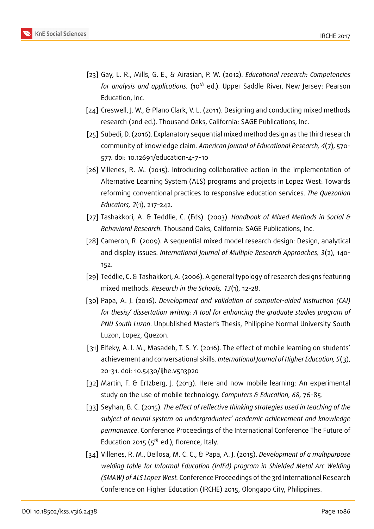

- <span id="page-22-0"></span>[23] Gay, L. R., Mills, G. E., & Airasian, P. W. (2012). *Educational research: Competencies* for analysis and applications. (10<sup>th</sup> ed.). Upper Saddle River, New Jersey: Pearson Education, Inc.
- [24] Creswell, J. W., & Plano Clark, V. L. (2011). Designing and conducting mixed methods research (2nd ed.). Thousand Oaks, California: SAGE Publications, Inc.
- [25] Subedi, D. (2016). Explanatory sequential mixed method design as the third research community of knowledge claim*. American Journal of Educational Research, 4*(7), 570- 577. doi: 10.12691/education-4-7-10
- <span id="page-22-1"></span>[26] Villenes, R. M. (2015). Introducing collaborative action in the implementation of Alternative Learning System (ALS) programs and projects in Lopez West: Towards reforming conventional practices to responsive education services. *The Quezonian Educators, 2*(1), 217–242.
- <span id="page-22-2"></span>[27] Tashakkori, A. & Teddlie, C. (Eds). (2003). *Handbook of Mixed Methods in Social & Behavioral Research*. Thousand Oaks, California: SAGE Publications, Inc.
- <span id="page-22-3"></span>[28] Cameron, R. (2009). A sequential mixed model research design: Design, analytical and display issues. *International Journal of Multiple Research Approaches, 3*(2), 140- 152.
- <span id="page-22-4"></span>[29] Teddlie, C. & Tashakkori, A. (2006). A general typology of research designs featuring mixed methods. *Research in the Schools, 13*(1), 12-28.
- [30] Papa, A. J. (2016). *Development and validation of computer-aided instruction (CAI) for thesis/ dissertation writing: A tool for enhancing the graduate studies program of PNU South Luzon*. Unpublished Master's Thesis, Philippine Normal University South Luzon, Lopez, Quezon.
- <span id="page-22-6"></span>[31] Elfeky, A. I. M., Masadeh, T. S. Y. (2016). The effect of mobile learning on students' achievement and conversational skills. *International Journal of Higher Education, 5*(3), 20-31. doi: 10.5430/ijhe.v5n3p20
- [32] Martin, F. & Ertzberg, J. (2013). Here and now mobile learning: An experimental study on the use of mobile technology. *Computers & Education, 68*, 76-85.
- [33] Seyhan, B. C. (2015). *The effect of reflective thinking strategies used in teaching of the subject of neural system on undergraduates' academic achievement and knowledge permanence*. Conference Proceedings of the International Conference The Future of Education 2015 ( $5<sup>th</sup>$  ed.), florence, Italy.
- <span id="page-22-5"></span>[34] Villenes, R. M., Dellosa, M. C. C., & Papa, A. J. (2015). *Development of a multipurpose welding table for Informal Education (InfEd) program in Shielded Metal Arc Welding (SMAW) of ALS Lopez West.* Conference Proceedings of the 3rd International Research Conference on Higher Education (IRCHE) 2015, Olongapo City, Philippines.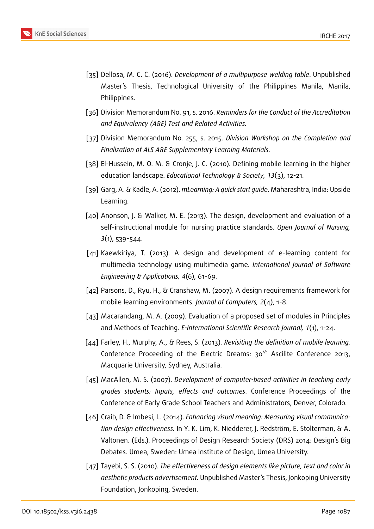

- <span id="page-23-0"></span>[35] Dellosa, M. C. C. (2016). *Development of a multipurpose welding table*. Unpublished Master's Thesis, Technological University of the Philippines Manila, Manila, Philippines.
- <span id="page-23-1"></span>[36] Division Memorandum No. 91, s. 2016. *Reminders for the Conduct of the Accreditation and Equivalency (A&E) Test and Related Activities.*
- <span id="page-23-2"></span>[37] Division Memorandum No. 255, s. 2015. *Division Workshop on the Completion and Finalization of ALS A&E Supplementary Learning Materials*.
- <span id="page-23-3"></span>[38] El-Hussein, M. O. M. & Cronje, J. C. (2010). Defining mobile learning in the higher education landscape. *Educational Technology & Society, 13*(3), 12-21.
- <span id="page-23-4"></span>[39] Garg, A. & Kadle, A. (2012). *mLearning: A quick start guide*. Maharashtra, India: Upside Learning.
- <span id="page-23-5"></span>[40] Anonson, J. & Walker, M. E. (2013). The design, development and evaluation of a self-instructional module for nursing practice standards. *Open Journal of Nursing, 3*(1), 539-544.
- <span id="page-23-6"></span>[41] Kaewkiriya, T. (2013). A design and development of e-learning content for multimedia technology using multimedia game. *International Journal of Software Engineering & Applications, 4*(6), 61-69.
- <span id="page-23-7"></span>[42] Parsons, D., Ryu, H., & Cranshaw, M. (2007). A design requirements framework for mobile learning environments. *Journal of Computers, 2*(4), 1-8.
- <span id="page-23-8"></span>[43] Macarandang, M. A. (2009). Evaluation of a proposed set of modules in Principles and Methods of Teaching*. E-International Scientific Research Journal, 1*(1), 1-24.
- <span id="page-23-9"></span>[44] Farley, H., Murphy, A., & Rees, S. (2013). *Revisiting the definition of mobile learning.* Conference Proceeding of the Electric Dreams:  $30<sup>th</sup>$  Ascilite Conference 2013, Macquarie University, Sydney, Australia.
- <span id="page-23-10"></span>[45] MacAllen, M. S. (2007). *Development of computer-based activities in teaching early grades students: Inputs, effects and outcomes*. Conference Proceedings of the Conference of Early Grade School Teachers and Administrators, Denver, Colorado.
- <span id="page-23-11"></span>[46] Craib, D. & Imbesi, L. (2014). *Enhancing visual meaning: Measuring visual communication design effectiveness.* In Y. K. Lim, K. Niedderer, J. Redström, E. Stolterman, & A. Valtonen. (Eds.). Proceedings of Design Research Society (DRS) 2014: Design's Big Debates. Umea, Sweden: Umea Institute of Design, Umea University.
- [47] Tayebi, S. S. (2010). *The effectiveness of design elements like picture, text and color in aesthetic products advertisement.* Unpublished Master's Thesis, Jonkoping University Foundation, Jonkoping, Sweden.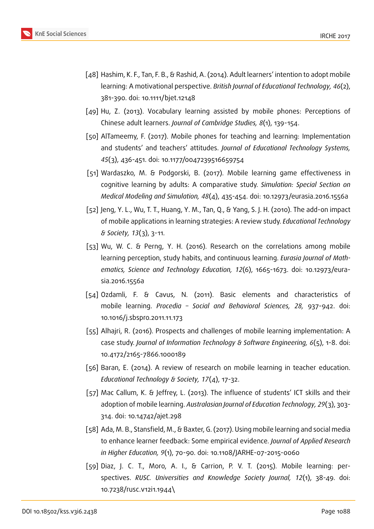

- <span id="page-24-0"></span>[48] Hashim, K. F., Tan, F. B., & Rashid, A. (2014). Adult learners' intention to adopt mobile learning: A motivational perspective. *British Journal of Educational Technology, 46*(2), 381-390. doi: 10.1111/bjet.12148
- <span id="page-24-1"></span>[49] Hu, Z. (2013). Vocabulary learning assisted by mobile phones: Perceptions of Chinese adult learners. *Journal of Cambridge Studies, 8*(1), 139-154.
- <span id="page-24-2"></span>[50] AlTameemy, F. (2017). Mobile phones for teaching and learning: Implementation and students' and teachers' attitudes. *Journal of Educational Technology Systems, 45*(3), 436-451. doi: 10.1177/0047239516659754
- [51] Wardaszko, M. & Podgorski, B. (2017). Mobile learning game effectiveness in cognitive learning by adults: A comparative study. *Simulation: Special Section on Medical Modeling and Simulation, 48*(4), 435-454. doi: 10.12973/eurasia.2016.1556a
- <span id="page-24-3"></span>[52] Jeng, Y. L., Wu, T. T., Huang, Y. M., Tan, Q., & Yang, S. J. H. (2010). The add-on impact of mobile applications in learning strategies: A review study. *Educational Technology & Society, 13*(3), 3-11.
- <span id="page-24-4"></span>[53] Wu, W. C. & Perng, Y. H. (2016). Research on the correlations among mobile learning perception, study habits, and continuous learning. *Eurasia Journal of Mathematics, Science and Technology Education, 12*(6), 1665-1673. doi: 10.12973/eurasia.2016.1556a
- <span id="page-24-5"></span>[54] Ozdamli, F. & Cavus, N. (2011). Basic elements and characteristics of mobile learning. *Procedia – Social and Behavioral Sciences, 28,* 937-942. doi: 10.1016/j.sbspro.2011.11.173
- <span id="page-24-6"></span>[55] Alhajri, R. (2016). Prospects and challenges of mobile learning implementation: A case study. *Journal of Information Technology & Software Engineering, 6*(5), 1-8. doi: 10.4172/2165-7866.1000189
- <span id="page-24-7"></span>[56] Baran, E. (2014). A review of research on mobile learning in teacher education. *Educational Technology & Society, 17*(4), 17-32.
- <span id="page-24-8"></span>[57] Mac Callum, K. & Jeffrey, L. (2013). The influence of students' ICT skills and their adoption of mobile learning. *Australasian Journal of Education Technology, 29*(3), 303- 314. doi: 10.14742/ajet.298
- <span id="page-24-9"></span>[58] Ada, M. B., Stansfield, M., & Baxter, G. (2017). Using mobile learning and social media to enhance learner feedback: Some empirical evidence. *Journal of Applied Research in Higher Education, 9*(1), 70-90. doi: 10.1108/JARHE-07-2015-0060
- <span id="page-24-10"></span>[59] Diaz, J. C. T., Moro, A. I., & Carrion, P. V. T. (2015). Mobile learning: perspectives. *RUSC. Universities and Knowledge Society Journal, 12*(1), 38-49. doi: 10.7238/rusc.v12i1.1944\